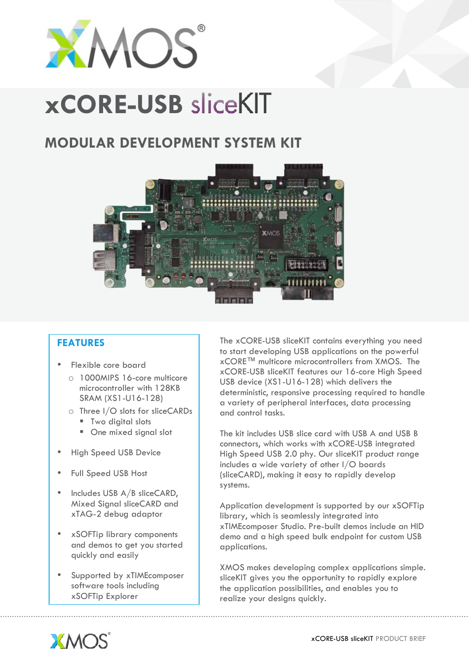

# **xCORE-USB**

# **MODULAR DEVELOPMENT SYSTEM KIT**



## **FEATURES**

- Flexible core board
	- o 1000MIPS 16-core multicore microcontroller with 128KB SRAM (XS1-U16-128)
	- o Three I/O slots for sliceCARDs
		- Two digital slots
		- One mixed signal slot
- High Speed USB Device
- Full Speed USB Host
- Includes USB A/B sliceCARD, Mixed Signal sliceCARD and xTAG-2 debug adaptor
- xSOFTip library components and demos to get you started quickly and easily
- Supported by xTIMEcomposer software tools including xSOFTip Explorer

The xCORE-USB sliceKIT contains everything you need to start developing USB applications on the powerful xCORE™ multicore microcontrollers from XMOS. The xCORE-USB sliceKIT features our 16-core High Speed USB device (XS1-U16-128) which delivers the deterministic, responsive processing required to handle a variety of peripheral interfaces, data processing and control tasks.

The kit includes USB slice card with USB A and USB B connectors, which works with xCORE-USB integrated High Speed USB 2.0 phy. Our sliceKIT product range includes a wide variety of other I/O boards (sliceCARD), making it easy to rapidly develop systems.

Application development is supported by our xSOFTip library, which is seamlessly integrated into xTIMEcomposer Studio. Pre-built demos include an HID demo and a high speed bulk endpoint for custom USB applications.

XMOS makes developing complex applications simple. sliceKIT gives you the opportunity to rapidly explore the application possibilities, and enables you to realize your designs quickly.